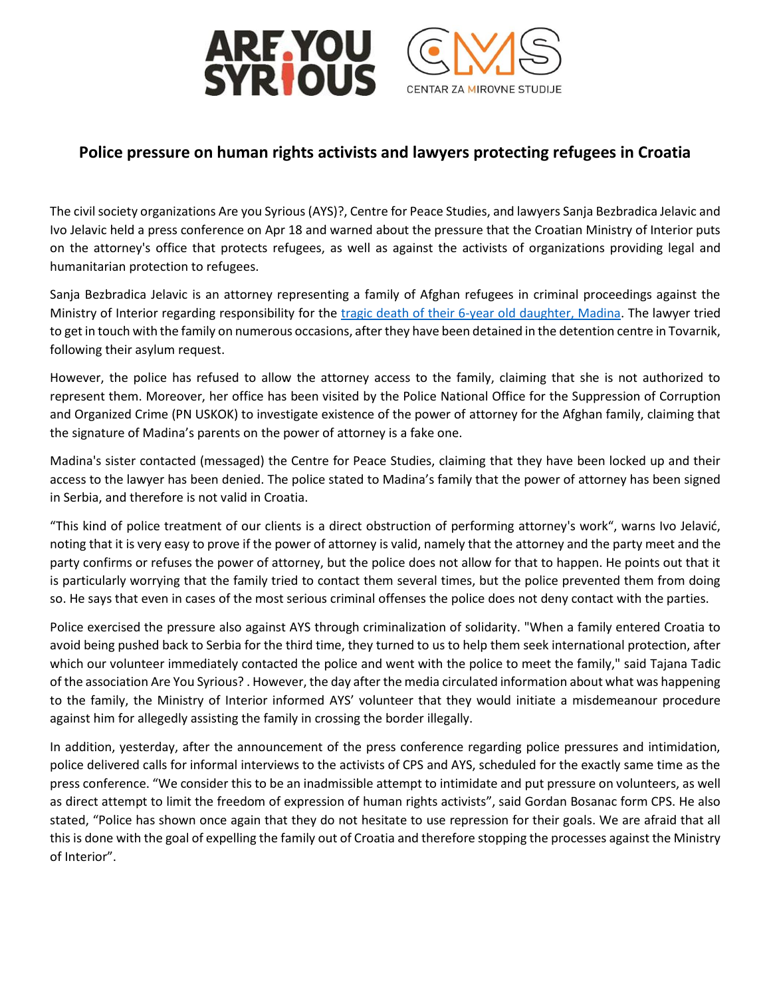



## **Police pressure on human rights activists and lawyers protecting refugees in Croatia**

The civil society organizations Are you Syrious (AYS)?, Centre for Peace Studies, and lawyers Sanja Bezbradica Jelavic and Ivo Jelavic held a press conference on Apr 18 and warned about the pressure that the Croatian Ministry of Interior puts on the attorney's office that protects refugees, as well as against the activists of organizations providing legal and humanitarian protection to refugees.

Sanja Bezbradica Jelavic is an attorney representing a family of Afghan refugees in criminal proceedings against the Ministry of Interior regarding responsibility for the [tragic death of their 6-year old daughter, Madina.](https://www.theguardian.com/world/2017/dec/08/they-treated-her-like-a-dog-tragedy-of-the-six-year-old-killed-at-croatian-border) The lawyer tried to get in touch with the family on numerous occasions, after they have been detained in the detention centre in Tovarnik, following their asylum request.

However, the police has refused to allow the attorney access to the family, claiming that she is not authorized to represent them. Moreover, her office has been visited by the Police National Office for the Suppression of Corruption and Organized Crime (PN USKOK) to investigate existence of the power of attorney for the Afghan family, claiming that the signature of Madina's parents on the power of attorney is a fake one.

Madina's sister contacted (messaged) the Centre for Peace Studies, claiming that they have been locked up and their access to the lawyer has been denied. The police stated to Madina's family that the power of attorney has been signed in Serbia, and therefore is not valid in Croatia.

"This kind of police treatment of our clients is a direct obstruction of performing attorney's work", warns Ivo Jelavić, noting that it is very easy to prove if the power of attorney is valid, namely that the attorney and the party meet and the party confirms or refuses the power of attorney, but the police does not allow for that to happen. He points out that it is particularly worrying that the family tried to contact them several times, but the police prevented them from doing so. He says that even in cases of the most serious criminal offenses the police does not deny contact with the parties.

Police exercised the pressure also against AYS through criminalization of solidarity. "When a family entered Croatia to avoid being pushed back to Serbia for the third time, they turned to us to help them seek international protection, after which our volunteer immediately contacted the police and went with the police to meet the family," said Tajana Tadic of the association Are You Syrious? . However, the day after the media circulated information about what was happening to the family, the Ministry of Interior informed AYS' volunteer that they would initiate a misdemeanour procedure against him for allegedly assisting the family in crossing the border illegally.

In addition, yesterday, after the announcement of the press conference regarding police pressures and intimidation, police delivered calls for informal interviews to the activists of CPS and AYS, scheduled for the exactly same time as the press conference. "We consider this to be an inadmissible attempt to intimidate and put pressure on volunteers, as well as direct attempt to limit the freedom of expression of human rights activists", said Gordan Bosanac form CPS. He also stated, "Police has shown once again that they do not hesitate to use repression for their goals. We are afraid that all this is done with the goal of expelling the family out of Croatia and therefore stopping the processes against the Ministry of Interior".